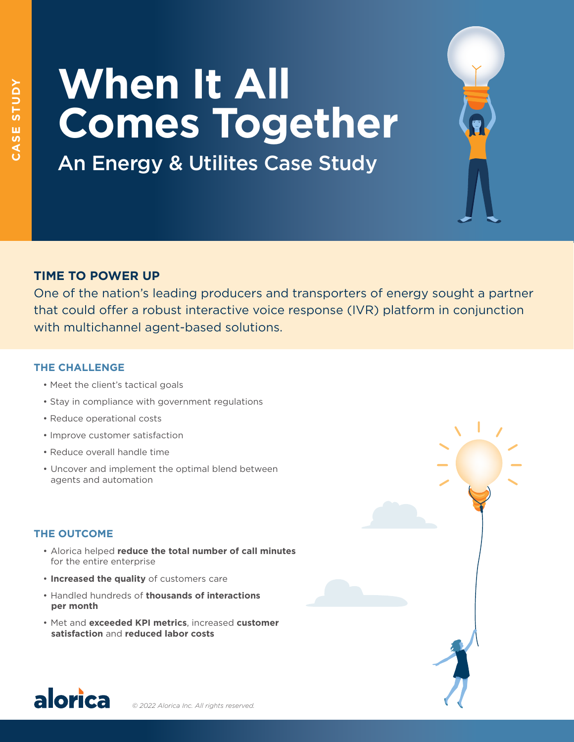# **When It All Comes Together**

An Energy & Utilites Case Study

# **TIME TO POWER UP**

One of the nation's leading producers and transporters of energy sought a partner that could offer a robust interactive voice response (IVR) platform in conjunction with multichannel agent-based solutions.

### **THE CHALLENGE**

- Meet the client's tactical goals
- Stay in compliance with government regulations
- Reduce operational costs
- Improve customer satisfaction
- Reduce overall handle time
- Uncover and implement the optimal blend between agents and automation

## **THE OUTCOME**

- Alorica helped **reduce the total number of call minutes** for the entire enterprise
- **Increased the quality** of customers care
- Handled hundreds of **thousands of interactions per month**
- Met and **exceeded KPI metrics**, increased **customer satisfaction** and **reduced labor costs**



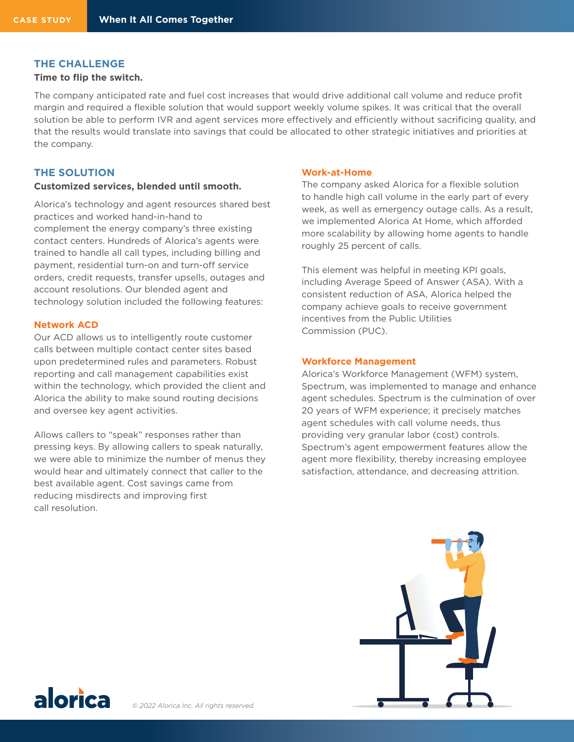#### **THE CHALLENGE**

#### **Time to flip the switch.**

The company anticipated rate and fuel cost increases that would drive additional call volume and reduce profit margin and required a flexible solution that would support weekly volume spikes. It was critical that the overall solution be able to perform IVR and agent services more effectively and efficiently without sacrificing quality, and that the results would translate into savings that could be allocated to other strategic initiatives and priorities at the company.

#### **THE SOLUTION**

#### **Customized services, blended until smooth.**

Alorica's technology and agent resources shared best practices and worked hand-in-hand to complement the energy company's three existing contact centers. Hundreds of Alorica's agents were trained to handle all call types, including billing and payment, residential turn-on and turn-off service orders, credit requests, transfer upsells, outages and account resolutions. Our blended agent and technology solution included the following features:

#### **Network ACD**

Our ACD allows us to intelligently route customer calls between multiple contact center sites based upon predetermined rules and parameters. Robust reporting and call management capabilities exist within the technology, which provided the client and Alorica the ability to make sound routing decisions and oversee key agent activities.

Allows callers to "speak" responses rather than pressing keys. By allowing callers to speak naturally, we were able to minimize the number of menus they would hear and ultimately connect that caller to the best available agent. Cost savings came from reducing misdirects and improving first call resolution.

#### **Work-at-Home**

The company asked Alorica for a flexible solution to handle high call volume in the early part of every week, as well as emergency outage calls. As a result, we implemented Alorica At Home, which afforded more scalability by allowing home agents to handle roughly 25 percent of calls.

This element was helpful in meeting KPI goals, including Average Speed of Answer (ASA). With a consistent reduction of ASA, Alorica helped the company achieve goals to receive government incentives from the Public Utilities Commission (PUC).

#### **Workforce Management**

Alorica's Workforce Management (WFM) system, Spectrum, was implemented to manage and enhance agent schedules. Spectrum is the culmination of over 20 years of WFM experience; it precisely matches agent schedules with call volume needs, thus providing very granular labor (cost) controls. Spectrum's agent empowerment features allow the agent more flexibility, thereby increasing employee satisfaction, attendance, and decreasing attrition.